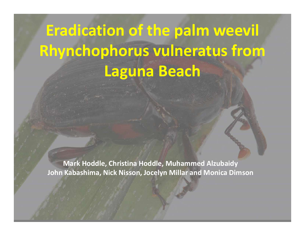Eradication of the palm weevil Eradication of the palm weevil<br>Rhynchophorus vulneratus from<br>Laguna Beach Laguna Beach

Mark Hoddle, Christina Hoddle, Muhammed Alzubaidy John Kabashima, Nick Nisson, Jocelyn Millar and Monica Dimson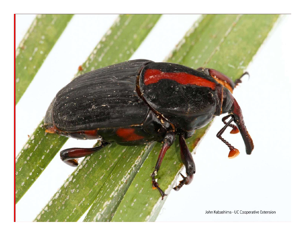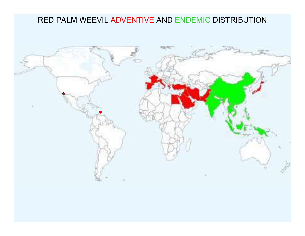# RED PALM WEEVIL ADVENTIVE AND ENDEMIC DISTRIBUTION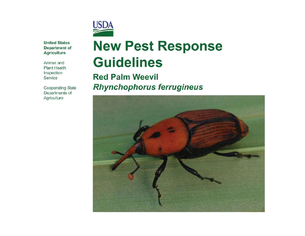

**United States** Department of **Agriculture** 

Animal and Plant Health Inspection Service

**Cooperating State** Departments of Agriculture

### **New Pest Response Guidelines**

### **Red Palm Weevil Rhynchophorus ferrugineus**

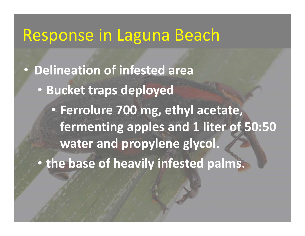### Response in Laguna Beach

• Delineation of infested area • Bucket traps deployed oonse in Laguna Beach<br>Ferrolm of infested area<br>Ferrolure 700 mg, ethyl acetate,<br>Ferrolure 700 mg, ethyl acetate,<br>Fermenting apples and 1 liter of 50:50<br>Sustar and manulare aluse! fermenting apples and 1 liter of 50:50 water and propylene glycol. • the base of heavily infested palms.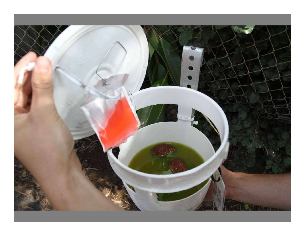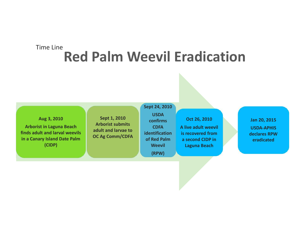### Red Palm Weevil Eradication Time Line

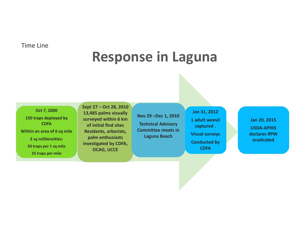### Response in Laguna

| <b>Time Line</b>                                                                                                                                        |                                                                                                                                                                                             | <b>Response in Laguna</b>                                                                             |                                                                                                            |                                                                 |  |
|---------------------------------------------------------------------------------------------------------------------------------------------------------|---------------------------------------------------------------------------------------------------------------------------------------------------------------------------------------------|-------------------------------------------------------------------------------------------------------|------------------------------------------------------------------------------------------------------------|-----------------------------------------------------------------|--|
| Oct 7, 2000<br>150 traps deployed by<br><b>CDFA</b><br>Within an area of 6 sq mile<br>2 sq milDensities:<br>50 traps per 1 sq mile<br>25 traps per mile | Sept 27 - Oct 28, 2010<br>13,485 palms visually<br>surveyed within 6 km<br>of initial find sites<br>Residents, arborists,<br>palm enthusiasts<br>investigated by CDFA,<br><b>OCAG, UCCE</b> | Nov 29 - Dec 1, 2010<br><b>Technical Advisory</b><br><b>Committee meets in</b><br><b>Laguna Beach</b> | Jan 31, 2012<br>1 adult weevil<br>captured.<br><b>Visual surveys</b><br><b>Conducted by</b><br><b>CDFA</b> | Jan 20, 2015<br><b>USDA-APHIS</b><br>declares RPW<br>eradicated |  |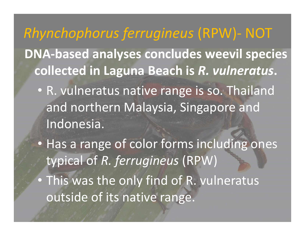DNA-based analyses concludes weevil species collected in Laguna Beach is R. vulneratus. **Example 12 Section Science 15 Serven Strate in Laguna Beach is R. vulneratus.**<br> **• R. vulneratus native range is so. Thailand**<br> **• R. vulneratus native range is so. Thailand**<br>
and northern Malaysia, Singapore and and northern Malaysia, Singapore and Indonesia. • Has a range of color forms including ones typical of R. ferrugineus (RPW) Rhynchophorus ferrugineus (RPW)- NOT<br>DNA-based analyses concludes weevil species

• This was the only find of R. vulneratus outside of its native range.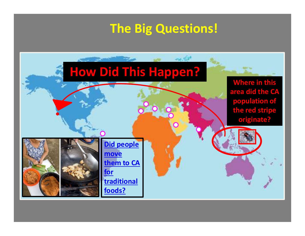### The Big Questions!

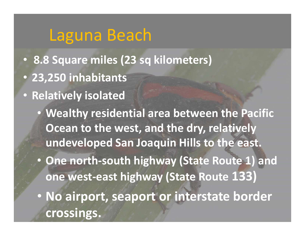### Laguna Beach

- **Laguna Beach<br>• 8.8 Square miles (23 sq kilometers)<br>• 23,250 inhabitants**
- 23,250 inhabitants
- Relatively isolated
	- Wealthy residential area between the Pacific Ocean to the west, and the dry, relatively undeveloped San Joaquin Hills to the east.
	- One north-south highway (State Route 1) and one west-east highway (State Route 133)
	- No airport, seaport or interstate border crossings.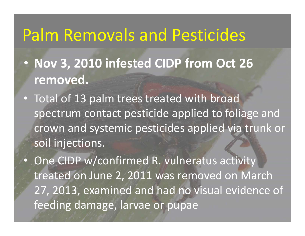## Palm Removals and Pesticides<br>• Nov 3, 2010 infested CIDP from Oct 26

- Nov 3, 2010 infested CIDP from Oct 26 removed.
- **Palm Removals and Pesticides<br>• Nov 3, 2010 infested CIDP from Oct 26<br>• Total of 13 palm trees treated with broad<br>• Spectrum contact pesticide applied to foliage a<br>Crown and systemic pesticides applied via truple** spectrum contact pesticide applied to foliage and crown and systemic pesticides applied via trunk or soil injections. • Total of 13 palm trees treated with broad<br>• Total of 13 palm trees treated with broad<br>spectrum contact pesticide applied to foliage and<br>crown and systemic pesticides applied via trunk or<br>soil injections.<br>• One CIDP w/con

treated on June 2, 2011 was removed on March 27, 2013, examined and had no visual evidence of feeding damage, larvae or pupae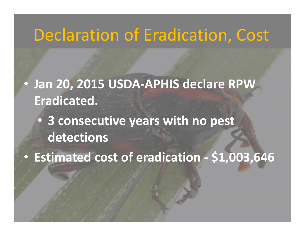## Declaration of Eradication, Cost

• Jan 20, 2015 USDA-APHIS declare RPW Eradicated. 9 Declaration of Eradication, Cos<br>
19 20, 2015 USDA-APHIS declare RPW<br>
19 Consecutive years with no pest<br>
20 detections<br>
20 detections • Jan 20, 2015 USDA-APHIS declare RPW<br>
Eradicated.<br>
• 3 consecutive years with no pest<br>
detections<br>
• Estimated cost of eradication - \$1,003,646

detections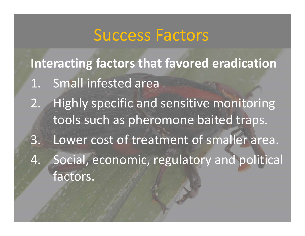Interacting factors that favored eradication

- 
- Success Factors<br>1. Small infested area<br>2. Highly specific and sensitive 2. Success Factors<br>2. Highly specific and sensitive monitoring<br>2. Highly specific and sensitive monitoring<br>2. Highly specific and sensitive monitoring<br>tools such as pheromone baited traps. tools such as pheromone baited traps. Interacting factors that favored eradication<br>1. Small infested area<br>2. Highly specific and sensitive monitoring<br>tools such as pheromone baited traps.<br>3. Lower cost of treatment of smaller area.<br>4. Social, economic, regulat
- 
- 4. Small infested area<br>
2. Highly specific and sensitive monitoring<br>
tools such as pheromone baited traps.<br>
3. Lower cost of treatment of smaller area.<br>
4. Social, economic, regulatory and political<br>
factors. factors.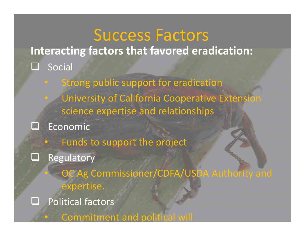Interacting factors that favored eradication: Social **Strong public support for eradication** University of California Cooperative Extension science expertise and relationships **Economic** Funds to support the project **Q** Regulatory **OC Ag Commissioner/CDFA/USDA Authority and** expertise. Science expertise and relationship<br>
■ Economic<br>
• Funds to support the project<br>
■ Regulatory<br>
• OCAg Commissioner/CDFA/USDA<br>
expertise.<br>
■ Political factors<br>
• Commitment and political will **Commitment and political** Success Factors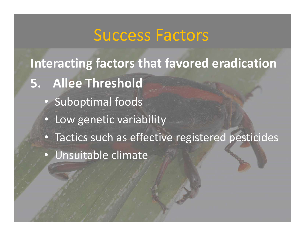- Interacting factors that favored eradication Success Factors<br>Interacting factors that favored<br>5. Allee Threshold<br>6. Suboptimal foods eracting factors that favored eradication<br>• Suboptimal foods<br>• Low genetic variability<br>• Tactics such as effective registered pesticides<br>• Unsuitable climate
- - Suboptimal foods
	- Low genetic variability
	-
	- Unsuitable climate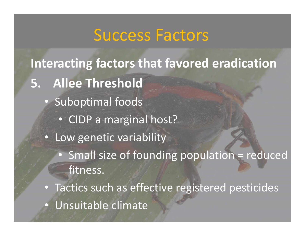- Interacting factors that favored eradication Success Factors<br>Interacting factors that favored<br>5. Allee Threshold<br>6. Suboptimal foods
- - Suboptimal foods
		- CIDP a marginal host?
	- Low genetic variability
	- Small size of founding population = reduced fitness. • Suboptimal foods<br>• CIDP a marginal host?<br>• Low genetic variability<br>• Small size of founding population = reduced<br>fitness.<br>• Tactics such as effective registered pesticides<br>• Unsuitable climate
	-
	- Unsuitable climate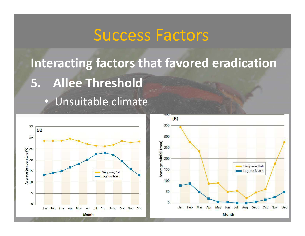### Interacting factors that favored eradication Success Factors<br>
Interacting factors that favored<br>
5. Allee Threshold<br>
• Unsuitable climate

• Unsuitable climate

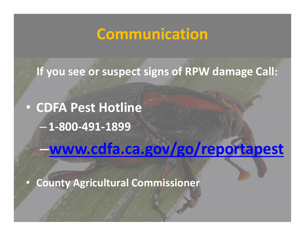### **Communication**

If you see or suspect signs of RPW damage Call:

• CDFA Pest Hotline –1-800-491-1899

–www.cdfa.ca.gov/go/reportapest

• County Agricultural Commissioner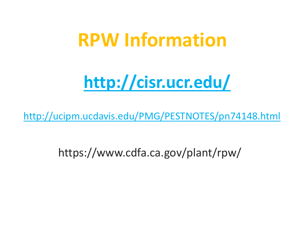### RPW Information

### http://cisr.ucr.edu/

http://ucipm.ucdavis.edu/PMG/PESTNOTES/pn74148.html

https://www.cdfa.ca.gov/plant/rpw/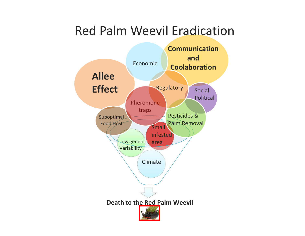### Red Palm Weevil Eradication